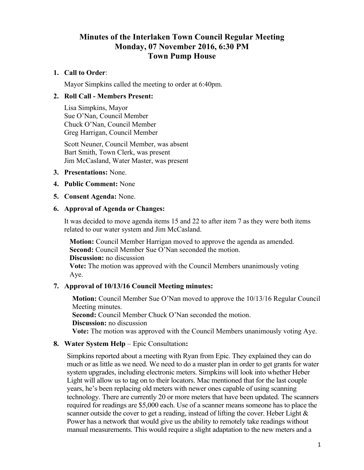# **Minutes of the Interlaken Town Council Regular Meeting Monday, 07 November 2016, 6:30 PM Town Pump House**

### **1. Call to Order**:

Mayor Simpkins called the meeting to order at 6:40pm.

#### **2. Roll Call - Members Present:**

Lisa Simpkins, Mayor Sue O'Nan, Council Member Chuck O'Nan, Council Member Greg Harrigan, Council Member

Scott Neuner, Council Member, was absent Bart Smith, Town Clerk, was present Jim McCasland, Water Master, was present

- **3. Presentations:** None.
- **4. Public Comment:** None
- **5. Consent Agenda:** None.

#### **6. Approval of Agenda or Changes:**

It was decided to move agenda items 15 and 22 to after item 7 as they were both items related to our water system and Jim McCasland.

**Motion:** Council Member Harrigan moved to approve the agenda as amended. **Second:** Council Member Sue O'Nan seconded the motion. **Discussion:** no discussion **Vote:** The motion was approved with the Council Members unanimously voting Aye.

#### **7. Approval of 10/13/16 Council Meeting minutes:**

**Motion:** Council Member Sue O'Nan moved to approve the 10/13/16 Regular Council Meeting minutes. **Second:** Council Member Chuck O'Nan seconded the motion. **Discussion:** no discussion **Vote:** The motion was approved with the Council Members unanimously voting Aye.

#### **8. Water System Help** – Epic Consultation**:**

Simpkins reported about a meeting with Ryan from Epic. They explained they can do much or as little as we need. We need to do a master plan in order to get grants for water system upgrades, including electronic meters. Simpkins will look into whether Heber Light will allow us to tag on to their locators. Mac mentioned that for the last couple years, he's been replacing old meters with newer ones capable of using scanning technology. There are currently 20 or more meters that have been updated. The scanners required for readings are \$5,000 each. Use of a scanner means someone has to place the scanner outside the cover to get a reading, instead of lifting the cover. Heber Light  $\&$ Power has a network that would give us the ability to remotely take readings without manual measurements. This would require a slight adaptation to the new meters and a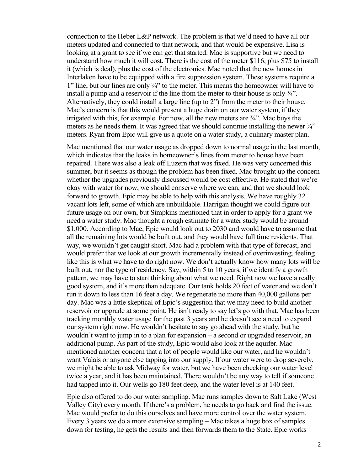connection to the Heber L&P network. The problem is that we'd need to have all our meters updated and connected to that network, and that would be expensive. Lisa is looking at a grant to see if we can get that started. Mac is supportive but we need to understand how much it will cost. There is the cost of the meter \$116, plus \$75 to install it (which is deal), plus the cost of the electronics. Mac noted that the new homes in Interlaken have to be equipped with a fire suppression system. These systems require a 1" line, but our lines are only  $\frac{3}{4}$ " to the meter. This means the homeowner will have to install a pump and a reservoir if the line from the meter to their house is only ¾". Alternatively, they could install a large line (up to 2") from the meter to their house. Mac's concern is that this would present a huge drain on our water system, if they irrigated with this, for example. For now, all the new meters are  $\frac{3}{4}$ . Mac buys the meters as he needs them. It was agreed that we should continue installing the newer  $\frac{3}{4}$ " meters. Ryan from Epic will give us a quote on a water study, a culinary master plan.

Mac mentioned that our water usage as dropped down to normal usage in the last month, which indicates that the leaks in homeowner's lines from meter to house have been repaired. There was also a leak off Luzern that was fixed. He was very concerned this summer, but it seems as though the problem has been fixed. Mac brought up the concern whether the upgrades previously discussed would be cost effective. He stated that we're okay with water for now, we should conserve where we can, and that we should look forward to growth. Epic may be able to help with this analysis. We have roughly 32 vacant lots left, some of which are unbuildable. Harrigan thought we could figure out future usage on our own, but Simpkins mentioned that in order to apply for a grant we need a water study. Mac thought a rough estimate for a water study would be around \$1,000. According to Mac, Epic would look out to 2030 and would have to assume that all the remaining lots would be built out, and they would have full time residents. That way, we wouldn't get caught short. Mac had a problem with that type of forecast, and would prefer that we look at our growth incrementally instead of overinvesting, feeling like this is what we have to do right now. We don't actually know how many lots will be built out, nor the type of residency. Say, within 5 to 10 years, if we identify a growth pattern, we may have to start thinking about what we need. Right now we have a really good system, and it's more than adequate. Our tank holds 20 feet of water and we don't run it down to less than 16 feet a day. We regenerate no more than 40,000 gallons per day. Mac was a little skeptical of Epic's suggestion that we may need to build another reservoir or upgrade at some point. He isn't ready to say let's go with that. Mac has been tracking monthly water usage for the past 3 years and he doesn't see a need to expand our system right now. He wouldn't hesitate to say go ahead with the study, but he wouldn't want to jump in to a plan for expansion – a second or upgraded reservoir, an additional pump. As part of the study, Epic would also look at the aquifer. Mac mentioned another concern that a lot of people would like our water, and he wouldn't want Valais or anyone else tapping into our supply. If our water were to drop severely, we might be able to ask Midway for water, but we have been checking our water level twice a year, and it has been maintained. There wouldn't be any way to tell if someone had tapped into it. Our wells go 180 feet deep, and the water level is at 140 feet.

Epic also offered to do our water sampling. Mac runs samples down to Salt Lake (West Valley City) every month. If there's a problem, he needs to go back and find the issue. Mac would prefer to do this ourselves and have more control over the water system. Every 3 years we do a more extensive sampling – Mac takes a huge box of samples down for testing, he gets the results and then forwards them to the State. Epic works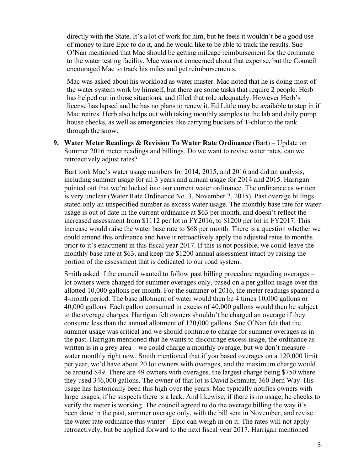directly with the State. It's a lot of work for him, but he feels it wouldn't be a good use of money to hire Epic to do it, and he would like to be able to track the results. Sue O'Nan mentioned that Mac should be getting mileage reimbursement for the commute to the water testing facility. Mac was not concerned about that expense, but the Council encouraged Mac to track his miles and get reimbursements.

Mac was asked about his workload as water master. Mac noted that he is doing most of the water system work by himself, but there are some tasks that require 2 people. Herb has helped out in those situations, and filled that role adequately. However Herb's license has lapsed and he has no plans to renew it. Ed Little may be available to step in if Mac retires. Herb also helps out with taking monthly samples to the lab and daily pump house checks, as well as emergencies like carrying buckets of T-chlor to the tank through the snow.

**9. Water Meter Readings & Revision To Water Rate Ordinance** (Bart) – Update on Summer 2016 meter readings and billings. Do we want to revise water rates, can we retroactively adjust rates?

Bart took Mac's water usage numbers for 2014, 2015, and 2016 and did an analysis, including summer usage for all 3 years and annual usage for 2014 and 2015. Harrigan pointed out that we're locked into our current water ordinance. The ordinance as written is very unclear (Water Rate Ordinance No. 3, November 2, 2015). Past overage billings stated only an unspecified number as excess water usage. The monthly base rate for water usage is out of date in the current ordinance at \$63 per month, and doesn't reflect the increased assessment from \$1112 per lot in FY2016, to \$1200 per lot in FY2017. This increase would raise the water base rate to \$68 per month. There is a question whether we could amend this ordinance and have it retroactively apply the adjusted rates to months prior to it's enactment in this fiscal year 2017. If this is not possible, we could leave the monthly base rate at \$63, and keep the \$1200 annual assessment intact by raising the portion of the assessment that is dedicated to our road system.

Smith asked if the council wanted to follow past billing procedure regarding overages – lot owners were charged for summer overages only, based on a per gallon usage over the allotted 10,000 gallons per month. For the summer of 2016, the meter readings spanned a 4-month period. The base allotment of water would then be 4 times 10,000 gallons or 40,000 gallons. Each gallon consumed in excess of 40,000 gallons would then be subject to the overage charges. Harrigan felt owners shouldn't be charged an overage if they consume less than the annual allotment of 120,000 gallons. Sue O'Nan felt that the summer usage was critical and we should continue to charge for summer overages as in the past. Harrigan mentioned that he wants to discourage excess usage, the ordinance as written is in a grey area – we could charge a monthly overage, but we don't measure water monthly right now. Smith mentioned that if you based overages on a 120,000 limit per year, we'd have about 20 lot owners with overages, and the maximum charge would be around \$49. There are 49 owners with overages, the largest charge being \$750 where they used 346,000 gallons. The owner of that lot is David Schmutz, 360 Bern Way. His usage has historically been this high over the years. Mac typically notifies owners with large usages, if he suspects there is a leak. And likewise, if there is no usage, he checks to verify the meter is working. The council agreed to do the overage billing the way it's been done in the past, summer overage only, with the bill sent in November, and revise the water rate ordinance this winter – Epic can weigh in on it. The rates will not apply retroactively, but be applied forward to the next fiscal year 2017. Harrigan mentioned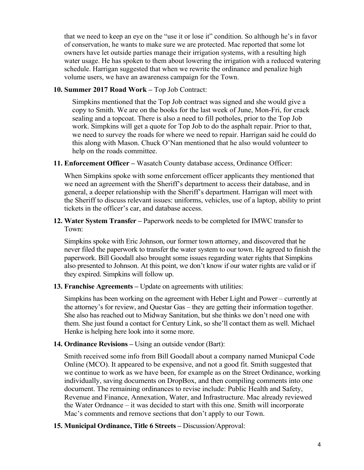that we need to keep an eye on the "use it or lose it" condition. So although he's in favor of conservation, he wants to make sure we are protected. Mac reported that some lot owners have let outside parties manage their irrigation systems, with a resulting high water usage. He has spoken to them about lowering the irrigation with a reduced watering schedule. Harrigan suggested that when we rewrite the ordinance and penalize high volume users, we have an awareness campaign for the Town.

### **10. Summer 2017 Road Work –** Top Job Contract:

Simpkins mentioned that the Top Job contract was signed and she would give a copy to Smith. We are on the books for the last week of June, Mon-Fri, for crack sealing and a topcoat. There is also a need to fill potholes, prior to the Top Job work. Simpkins will get a quote for Top Job to do the asphalt repair. Prior to that, we need to survey the roads for where we need to repair. Harrigan said he could do this along with Mason. Chuck O'Nan mentioned that he also would volunteer to help on the roads committee.

### **11. Enforcement Officer –** Wasatch County database access, Ordinance Officer:

When Simpkins spoke with some enforcement officer applicants they mentioned that we need an agreement with the Sheriff's department to access their database, and in general, a deeper relationship with the Sheriff's department. Harrigan will meet with the Sheriff to discuss relevant issues: uniforms, vehicles, use of a laptop, ability to print tickets in the officer's car, and database access.

### **12. Water System Transfer –** Paperwork needs to be completed for IMWC transfer to Town:

Simpkins spoke with Eric Johnson, our former town attorney, and discovered that he never filed the paperwork to transfer the water system to our town. He agreed to finish the paperwork. Bill Goodall also brought some issues regarding water rights that Simpkins also presented to Johnson. At this point, we don't know if our water rights are valid or if they expired. Simpkins will follow up.

#### **13. Franchise Agreements –** Update on agreements with utilities:

Simpkins has been working on the agreement with Heber Light and Power – currently at the attorney's for review, and Questar Gas – they are getting their information together. She also has reached out to Midway Sanitation, but she thinks we don't need one with them. She just found a contact for Century Link, so she'll contact them as well. Michael Henke is helping here look into it some more.

# **14. Ordinance Revisions –** Using an outside vendor (Bart):

Smith received some info from Bill Goodall about a company named Municpal Code Online (MCO). It appeared to be expensive, and not a good fit. Smith suggested that we continue to work as we have been, for example as on the Street Ordinance, working individually, saving documents on DropBox, and then compiling comments into one document. The remaining ordinances to revise include: Public Health and Safety, Revenue and Finance, Annexation, Water, and Infrastructure. Mac already reviewed the Water Ordnance – it was decided to start with this one. Smith will incorporate Mac's comments and remove sections that don't apply to our Town.

**15. Municipal Ordinance, Title 6 Streets –** Discussion/Approval: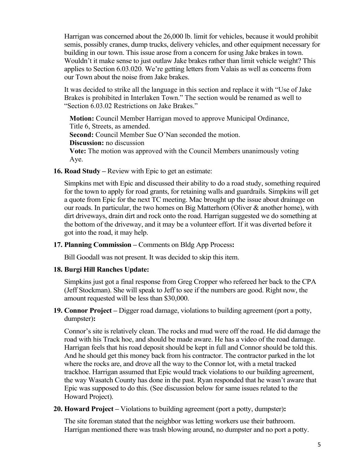Harrigan was concerned about the 26,000 lb. limit for vehicles, because it would prohibit semis, possibly cranes, dump trucks, delivery vehicles, and other equipment necessary for building in our town. This issue arose from a concern for using Jake brakes in town. Wouldn't it make sense to just outlaw Jake brakes rather than limit vehicle weight? This applies to Section 6.03.020. We're getting letters from Valais as well as concerns from our Town about the noise from Jake brakes.

It was decided to strike all the language in this section and replace it with "Use of Jake Brakes is prohibited in Interlaken Town." The section would be renamed as well to "Section 6.03.02 Restrictions on Jake Brakes."

**Motion:** Council Member Harrigan moved to approve Municipal Ordinance, Title 6, Streets, as amended. **Second:** Council Member Sue O'Nan seconded the motion. **Discussion:** no discussion **Vote:** The motion was approved with the Council Members unanimously voting Aye.

**16. Road Study –** Review with Epic to get an estimate:

Simpkins met with Epic and discussed their ability to do a road study, something required for the town to apply for road grants, for retaining walls and guardrails. Simpkins will get a quote from Epic for the next TC meeting. Mac brought up the issue about drainage on our roads. In particular, the two homes on Big Matterhorn (Oliver & another home), with dirt driveways, drain dirt and rock onto the road. Harrigan suggested we do something at the bottom of the driveway, and it may be a volunteer effort. If it was diverted before it got into the road, it may help.

**17. Planning Commission –** Comments on Bldg App Process**:**

Bill Goodall was not present. It was decided to skip this item.

# **18. Burgi Hill Ranches Update:**

Simpkins just got a final response from Greg Cropper who refereed her back to the CPA (Jeff Stockman). She will speak to Jeff to see if the numbers are good. Right now, the amount requested will be less than \$30,000.

**19. Connor Project –** Digger road damage, violations to building agreement (port a potty, dumpster)**:**

Connor's site is relatively clean. The rocks and mud were off the road. He did damage the road with his Track hoe, and should be made aware. He has a video of the road damage. Harrigan feels that his road deposit should be kept in full and Connor should be told this. And he should get this money back from his contractor. The contractor parked in the lot where the rocks are, and drove all the way to the Connor lot, with a metal tracked trackhoe. Harrigan assumed that Epic would track violations to our building agreement, the way Wasatch County has done in the past. Ryan responded that he wasn't aware that Epic was supposed to do this. (See discussion below for same issues related to the Howard Project).

**20. Howard Project –** Violations to building agreement (port a potty, dumpster)**:**

The site foreman stated that the neighbor was letting workers use their bathroom. Harrigan mentioned there was trash blowing around, no dumpster and no port a potty.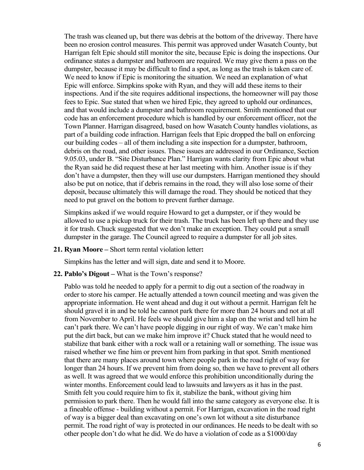The trash was cleaned up, but there was debris at the bottom of the driveway. There have been no erosion control measures. This permit was approved under Wasatch County, but Harrigan felt Epic should still monitor the site, because Epic is doing the inspections. Our ordinance states a dumpster and bathroom are required. We may give them a pass on the dumpster, because it may be difficult to find a spot, as long as the trash is taken care of. We need to know if Epic is monitoring the situation. We need an explanation of what Epic will enforce. Simpkins spoke with Ryan, and they will add these items to their inspections. And if the site requires additional inspections, the homeowner will pay those fees to Epic. Sue stated that when we hired Epic, they agreed to uphold our ordinances, and that would include a dumpster and bathroom requirement. Smith mentioned that our code has an enforcement procedure which is handled by our enforcement officer, not the Town Planner. Harrigan disagreed, based on how Wasatch County handles violations, as part of a building code infraction. Harrigan feels that Epic dropped the ball on enforcing our building codes – all of them including a site inspection for a dumpster, bathroom, debris on the road, and other issues. These issues are addressed in our Ordinance, Section 9.05.03, under B. "Site Disturbance Plan." Harrigan wants clarity from Epic about what the Ryan said he did request these at her last meeting with him. Another issue is if they don't have a dumpster, then they will use our dumpsters. Harrigan mentioned they should also be put on notice, that if debris remains in the road, they will also lose some of their deposit, because ultimately this will damage the road. They should be noticed that they need to put gravel on the bottom to prevent further damage.

Simpkins asked if we would require Howard to get a dumpster, or if they would be allowed to use a pickup truck for their trash. The truck has been left up there and they use it for trash. Chuck suggested that we don't make an exception. They could put a small dumpster in the garage. The Council agreed to require a dumpster for all job sites.

**21. Ryan Moore –** Short term rental violation letter**:**

Simpkins has the letter and will sign, date and send it to Moore.

**22. Pablo's Digout –** What is the Town's response?

Pablo was told he needed to apply for a permit to dig out a section of the roadway in order to store his camper. He actually attended a town council meeting and was given the appropriate information. He went ahead and dug it out without a permit. Harrigan felt he should gravel it in and be told he cannot park there for more than 24 hours and not at all from November to April. He feels we should give him a slap on the wrist and tell him he can't park there. We can't have people digging in our right of way. We can't make him put the dirt back, but can we make him improve it? Chuck stated that he would need to stabilize that bank either with a rock wall or a retaining wall or something. The issue was raised whether we fine him or prevent him from parking in that spot. Smith mentioned that there are many places around town where people park in the road right of way for longer than 24 hours. If we prevent him from doing so, then we have to prevent all others as well. It was agreed that we would enforce this prohibition unconditionally during the winter months. Enforcement could lead to lawsuits and lawyers as it has in the past. Smith felt you could require him to fix it, stabilize the bank, without giving him permission to park there. Then he would fall into the same category as everyone else. It is a fineable offense - building without a permit. For Harrigan, excavation in the road right of way is a bigger deal than excavating on one's own lot without a site disturbance permit. The road right of way is protected in our ordinances. He needs to be dealt with so other people don't do what he did. We do have a violation of code as a \$1000/day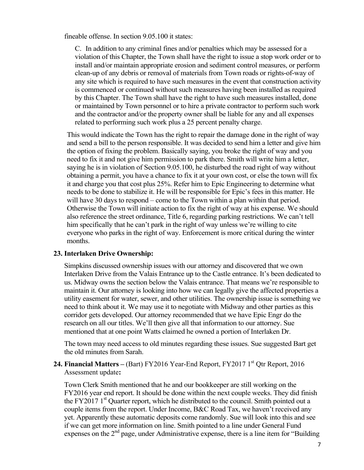fineable offense. In section 9.05.100 it states:

C. In addition to any criminal fines and/or penalties which may be assessed for a violation of this Chapter, the Town shall have the right to issue a stop work order or to install and/or maintain appropriate erosion and sediment control measures, or perform clean-up of any debris or removal of materials from Town roads or rights-of-way of any site which is required to have such measures in the event that construction activity is commenced or continued without such measures having been installed as required by this Chapter. The Town shall have the right to have such measures installed, done or maintained by Town personnel or to hire a private contractor to perform such work and the contractor and/or the property owner shall be liable for any and all expenses related to performing such work plus a 25 percent penalty charge.

This would indicate the Town has the right to repair the damage done in the right of way and send a bill to the person responsible. It was decided to send him a letter and give him the option of fixing the problem. Basically saying, you broke the right of way and you need to fix it and not give him permission to park there. Smith will write him a letter, saying he is in violation of Section 9.05.100, he disturbed the road right of way without obtaining a permit, you have a chance to fix it at your own cost, or else the town will fix it and charge you that cost plus 25%. Refer him to Epic Engineering to determine what needs to be done to stabilize it. He will be responsible for Epic's fees in this matter. He will have 30 days to respond – come to the Town within a plan within that period. Otherwise the Town will initiate action to fix the right of way at his expense. We should also reference the street ordinance, Title 6, regarding parking restrictions. We can't tell him specifically that he can't park in the right of way unless we're willing to cite everyone who parks in the right of way. Enforcement is more critical during the winter months.

#### **23. Interlaken Drive Ownership:**

Simpkins discussed ownership issues with our attorney and discovered that we own Interlaken Drive from the Valais Entrance up to the Castle entrance. It's been dedicated to us. Midway owns the section below the Valais entrance. That means we're responsible to maintain it. Our attorney is looking into how we can legally give the affected properties a utility easement for water, sewer, and other utilities. The ownership issue is something we need to think about it. We may use it to negotiate with Midway and other parties as this corridor gets developed. Our attorney recommended that we have Epic Engr do the research on all our titles. We'll then give all that information to our attorney. Sue mentioned that at one point Watts claimed he owned a portion of Interlaken Dr.

The town may need access to old minutes regarding these issues. Sue suggested Bart get the old minutes from Sarah.

**24. Financial Matters** – (Bart) FY2016 Year-End Report, FY2017 1<sup>st</sup> Qtr Report, 2016 Assessment update**:**

Town Clerk Smith mentioned that he and our bookkeeper are still working on the FY2016 year end report. It should be done within the next couple weeks. They did finish the FY2017 1<sup>st</sup> Quarter report, which he distributed to the council. Smith pointed out a couple items from the report. Under Income, B&C Road Tax, we haven't received any yet. Apparently these automatic deposits come randomly. Sue will look into this and see if we can get more information on line. Smith pointed to a line under General Fund expenses on the  $2<sup>nd</sup>$  page, under Administrative expense, there is a line item for "Building"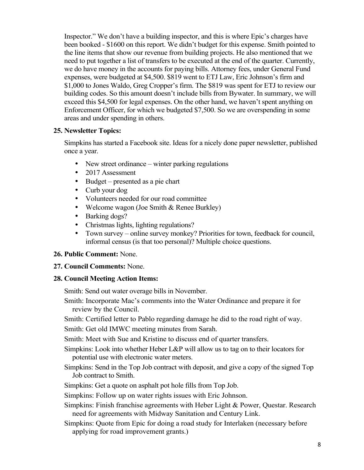Inspector." We don't have a building inspector, and this is where Epic's charges have been booked - \$1600 on this report. We didn't budget for this expense. Smith pointed to the line items that show our revenue from building projects. He also mentioned that we need to put together a list of transfers to be executed at the end of the quarter. Currently, we do have money in the accounts for paying bills. Attorney fees, under General Fund expenses, were budgeted at \$4,500. \$819 went to ETJ Law, Eric Johnson's firm and \$1,000 to Jones Waldo, Greg Cropper's firm. The \$819 was spent for ETJ to review our building codes. So this amount doesn't include bills from Bywater. In summary, we will exceed this \$4,500 for legal expenses. On the other hand, we haven't spent anything on Enforcement Officer, for which we budgeted \$7,500. So we are overspending in some areas and under spending in others.

# **25. Newsletter Topics:**

Simpkins has started a Facebook site. Ideas for a nicely done paper newsletter, published once a year.

- New street ordinance winter parking regulations
- 2017 Assessment
- Budget presented as a pie chart
- Curb your dog
- Volunteers needed for our road committee
- Welcome wagon (Joe Smith & Renee Burkley)
- Barking dogs?
- Christmas lights, lighting regulations?
- Town survey online survey monkey? Priorities for town, feedback for council, informal census (is that too personal)? Multiple choice questions.

# **26. Public Comment:** None.

# **27. Council Comments:** None.

# **28. Council Meeting Action Items:**

Smith: Send out water overage bills in November.

Smith: Incorporate Mac's comments into the Water Ordinance and prepare it for review by the Council.

Smith: Certified letter to Pablo regarding damage he did to the road right of way.

Smith: Get old IMWC meeting minutes from Sarah.

Smith: Meet with Sue and Kristine to discuss end of quarter transfers.

Simpkins: Look into whether Heber L&P will allow us to tag on to their locators for potential use with electronic water meters.

Simpkins: Send in the Top Job contract with deposit, and give a copy of the signed Top Job contract to Smith.

Simpkins: Get a quote on asphalt pot hole fills from Top Job.

Simpkins: Follow up on water rights issues with Eric Johnson.

- Simpkins: Finish franchise agreements with Heber Light & Power, Questar. Research need for agreements with Midway Sanitation and Century Link.
- Simpkins: Quote from Epic for doing a road study for Interlaken (necessary before applying for road improvement grants.)